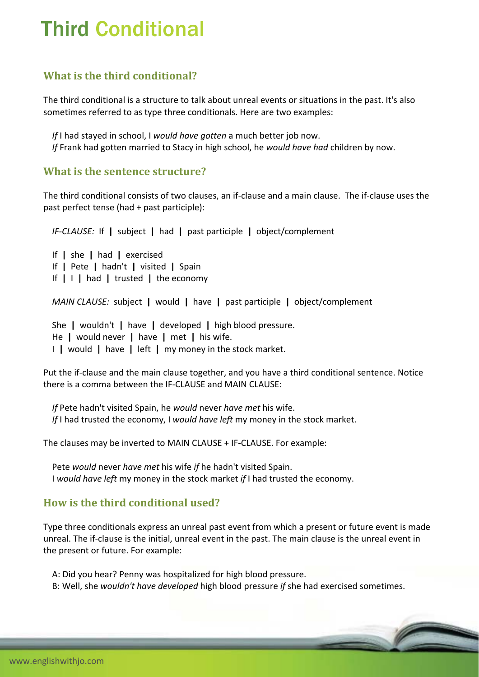# Third Conditional

### **What is the third conditional?**

The third conditional is a structure to talk about unreal events or situations in the past. It's also sometimes referred to as type three conditionals. Here are two examples:

 *If* I had stayed in school, I *would have gotten* a much better job now. *If* Frank had gotten married to Stacy in high school, he *would have had* children by now.

#### **What is the sentence structure?**

The third conditional consists of two clauses, an if‐clause and a main clause. The if‐clause uses the past perfect tense (had + past participle):

*IF‐CLAUSE:* If **|** subject **|** had **|** past participle **|** object/complement

 If **|** she **|** had **|** exercised If **|** Pete **|** hadn't **|** visited **|** Spain If **|** I **|** had **|** trusted **|** the economy

*MAIN CLAUSE:* subject **|** would **|** have **|** past participle **|** object/complement

 She **|** wouldn't **|** have **|** developed **|** high blood pressure. He **|** would never **|** have **|** met **|** his wife. I **|** would **|** have **|** left **|** my money in the stock market.

Put the if‐clause and the main clause together, and you have a third conditional sentence. Notice there is a comma between the IF‐CLAUSE and MAIN CLAUSE:

 *If* Pete hadn't visited Spain, he *would* never *have met* his wife. *If* I had trusted the economy, I *would have left* my money in the stock market.

The clauses may be inverted to MAIN CLAUSE + IF‐CLAUSE. For example:

 Pete *would* never *have met* his wife *if* he hadn't visited Spain. I *would have left* my money in the stock market *if* I had trusted the economy.

## **How is the third conditional used?**

Type three conditionals express an unreal past event from which a present or future event is made unreal. The if‐clause is the initial, unreal event in the past. The main clause is the unreal event in the present or future. For example:

A: Did you hear? Penny was hospitalized for high blood pressure.

B: Well, she *wouldn't have developed* high blood pressure *if* she had exercised sometimes.